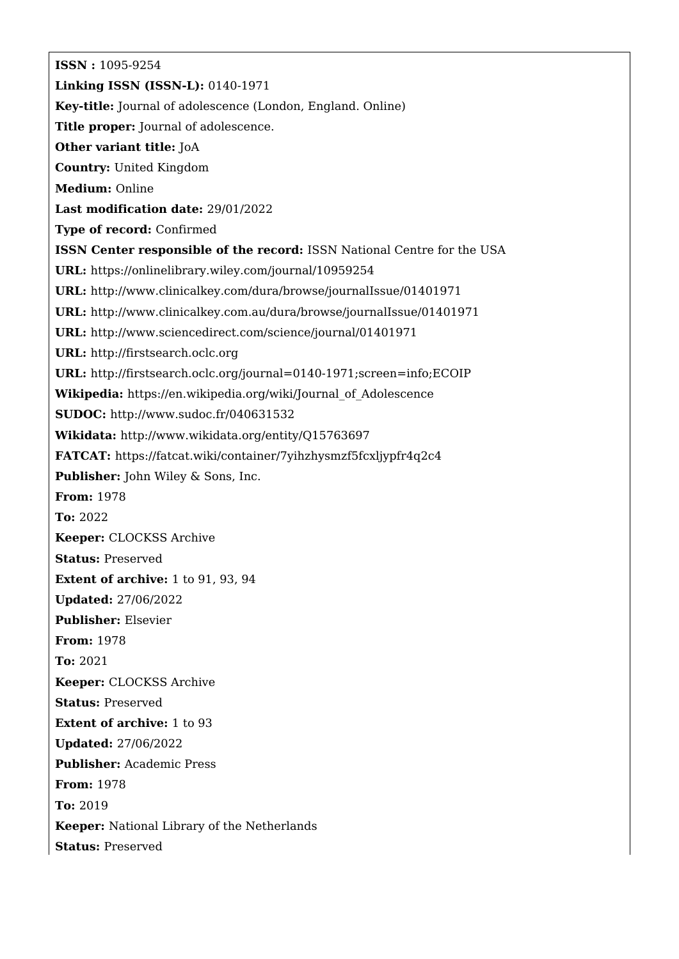**ISSN :** 1095-9254 **Linking ISSN (ISSN-L):** 0140-1971 **Key-title:** Journal of adolescence (London, England. Online) **Title proper:** Journal of adolescence. **Other variant title:** JoA **Country:** United Kingdom **Medium:** Online **Last modification date:** 29/01/2022 **Type of record:** Confirmed **ISSN Center responsible of the record:** ISSN National Centre for the USA **URL:** <https://onlinelibrary.wiley.com/journal/10959254> **URL:** <http://www.clinicalkey.com/dura/browse/journalIssue/01401971> **URL:** <http://www.clinicalkey.com.au/dura/browse/journalIssue/01401971> **URL:** <http://www.sciencedirect.com/science/journal/01401971> **URL:** <http://firstsearch.oclc.org> **URL:** <http://firstsearch.oclc.org/journal=0140-1971;screen=info;ECOIP> **Wikipedia:** [https://en.wikipedia.org/wiki/Journal\\_of\\_Adolescence](https://en.wikipedia.org/wiki/Journal_of_Adolescence) **SUDOC:** <http://www.sudoc.fr/040631532> **Wikidata:** <http://www.wikidata.org/entity/Q15763697> **FATCAT:** <https://fatcat.wiki/container/7yihzhysmzf5fcxljypfr4q2c4> **Publisher:** John Wiley & Sons, Inc. **From:** 1978 **To:** 2022 **Keeper:** CLOCKSS Archive **Status:** Preserved **Extent of archive:** 1 to 91, 93, 94 **Updated:** 27/06/2022 **Publisher:** Elsevier **From:** 1978 **To:** 2021 **Keeper:** CLOCKSS Archive **Status:** Preserved **Extent of archive:** 1 to 93 **Updated:** 27/06/2022 **Publisher:** Academic Press **From:** 1978 **To:** 2019 **Keeper:** National Library of the Netherlands **Status:** Preserved